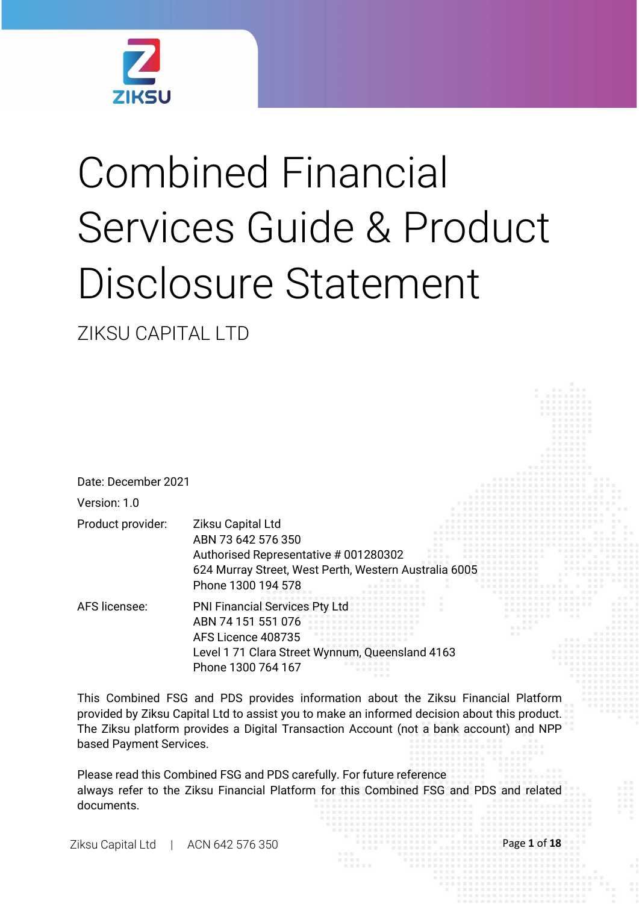

# Combined Financial Services Guide & Product Disclosure Statement

ZIKSU CAPITAL LTD

| Date: December 2021 |                                                                                                                                                                 |  |
|---------------------|-----------------------------------------------------------------------------------------------------------------------------------------------------------------|--|
| Version: 1.0        |                                                                                                                                                                 |  |
| Product provider:   | Ziksu Capital Ltd<br>ABN 73 642 576 350<br>Authorised Representative # 001280302<br>624 Murray Street, West Perth, Western Australia 6005<br>Phone 1300 194 578 |  |
| AFS licensee:       | <b>PNI Financial Services Pty Ltd</b><br>ABN 74 151 551 076<br>AFS Licence 408735<br>Level 1 71 Clara Street Wynnum, Queensland 4163<br>Phone 1300 764 167      |  |

This Combined FSG and PDS provides information about the Ziksu Financial Platform provided by Ziksu Capital Ltd to assist you to make an informed decision about this product. The Ziksu platform provides a Digital Transaction Account (not a bank account) and NPP based Payment Services.

Please read this Combined FSG and PDS carefully. For future reference always refer to the Ziksu Financial Platform for this Combined FSG and PDS and related documents.

Ziksu Capital Ltd | ACN 642 576 350 Page **1** of **18**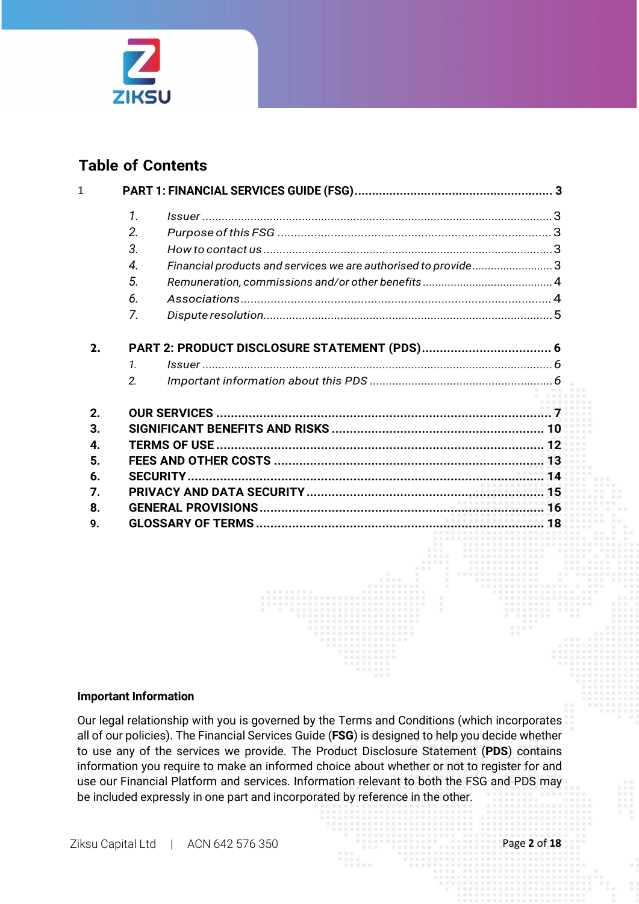

### **Table of Contents**

| 1              |                                                               |  |
|----------------|---------------------------------------------------------------|--|
| 1.             |                                                               |  |
| 2.             |                                                               |  |
| 3.             |                                                               |  |
| 4.             | Financial products and services we are authorised to provide3 |  |
| 5.             |                                                               |  |
| 6.             |                                                               |  |
| 7.             |                                                               |  |
| 2.             |                                                               |  |
| $\mathbf{1}$   |                                                               |  |
| $\mathfrak{D}$ |                                                               |  |
| 2.             |                                                               |  |
| 3.             |                                                               |  |
| 4.             |                                                               |  |
| 5.             |                                                               |  |
| 6.             |                                                               |  |
| 7.             |                                                               |  |
| 8.             |                                                               |  |
| 9.             |                                                               |  |

#### **Important Information**

Our legal relationship with you is governed by the Terms and Conditions (which incorporates all of our policies). The Financial Services Guide (**FSG**) is designed to help you decide whether to use any of the services we provide. The Product Disclosure Statement (**PDS**) contains information you require to make an informed choice about whether or not to register for and use our Financial Platform and services. Information relevant to both the FSG and PDS may be included expressly in one part and incorporated by reference in the other.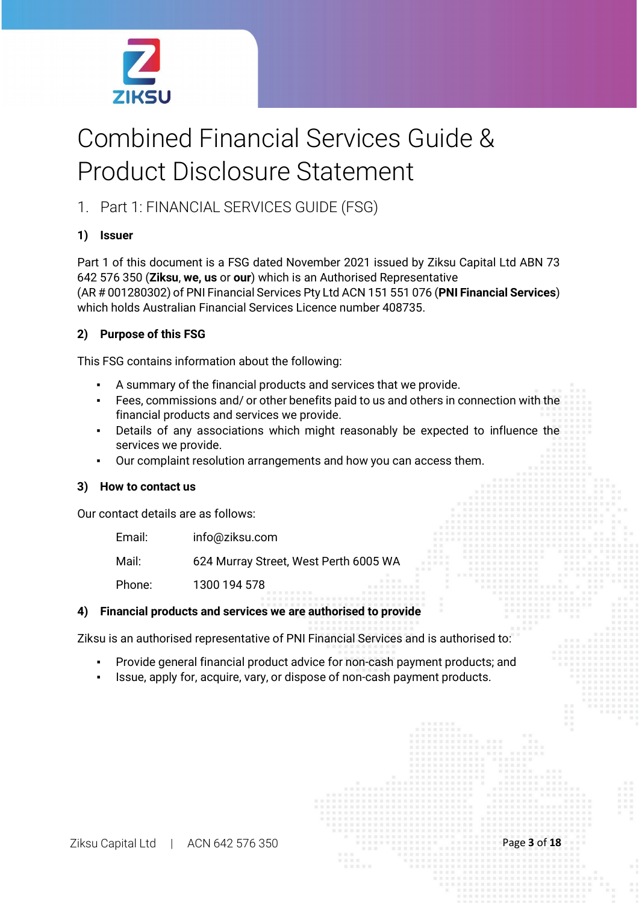

## Combined Financial Services Guide & Product Disclosure Statement

1. Part 1: FINANCIAL SERVICES GUIDE (FSG)

#### **1) Issuer**

Part 1 of this document is a FSG dated November 2021 issued by Ziksu Capital Ltd ABN 73 642 576 350 (**Ziksu**, **we, us** or **our**) which is an Authorised Representative (AR # 001280302) of PNI Financial Services Pty Ltd ACN 151 551 076 (**PNI Financial Services**) which holds Australian Financial Services Licence number 408735.

#### **2) Purpose of this FSG**

This FSG contains information about the following:

- A summary of the financial products and services that we provide.
- Fees, commissions and/ or other benefits paid to us and others in connection with the financial products and services we provide.
- Details of any associations which might reasonably be expected to influence the services we provide.
- Our complaint resolution arrangements and how you can access them.

#### **3) How to contact us**

Our contact details are as follows:

| Email: | info@ziksu.com                        |
|--------|---------------------------------------|
| Mail:  | 624 Murray Street, West Perth 6005 WA |
| Phone: | 1300 194 578<br>加豆豆豆豆豆                |

#### **4) Financial products and services we are authorised to provide**

Ziksu is an authorised representative of PNI Financial Services and is authorised to:

- Provide general financial product advice for non-cash payment products; and
- Issue, apply for, acquire, vary, or dispose of non-cash payment products.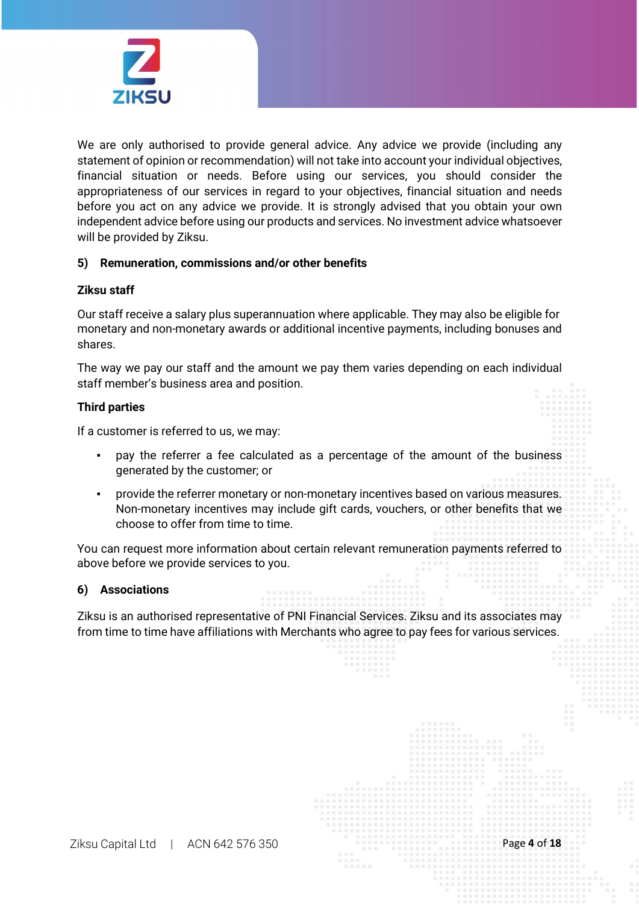

We are only authorised to provide general advice. Any advice we provide (including any statement of opinion or recommendation) will not take into account your individual objectives, financial situation or needs. Before using our services, you should consider the appropriateness of our services in regard to your objectives, financial situation and needs before you act on any advice we provide. It is strongly advised that you obtain your own independent advice before using our products and services. No investment advice whatsoever will be provided by Ziksu.

#### **5) Remuneration, commissions and/or other benefits**

#### **Ziksu staff**

Our staff receive a salary plus superannuation where applicable. They may also be eligible for monetary and non-monetary awards or additional incentive payments, including bonuses and shares.

The way we pay our staff and the amount we pay them varies depending on each individual staff member's business area and position.

#### **Third parties**

If a customer is referred to us, we may:

- pay the referrer a fee calculated as a percentage of the amount of the business generated by the customer; or
- provide the referrer monetary or non-monetary incentives based on various measures. Non-monetary incentives may include gift cards, vouchers, or other benefits that we choose to offer from time to time.

You can request more information about certain relevant remuneration payments referred to above before we provide services to you.

#### **6) Associations**

Ziksu is an authorised representative of PNI Financial Services. Ziksu and its associates may from time to time have affiliations with Merchants who agree to pay fees for various services.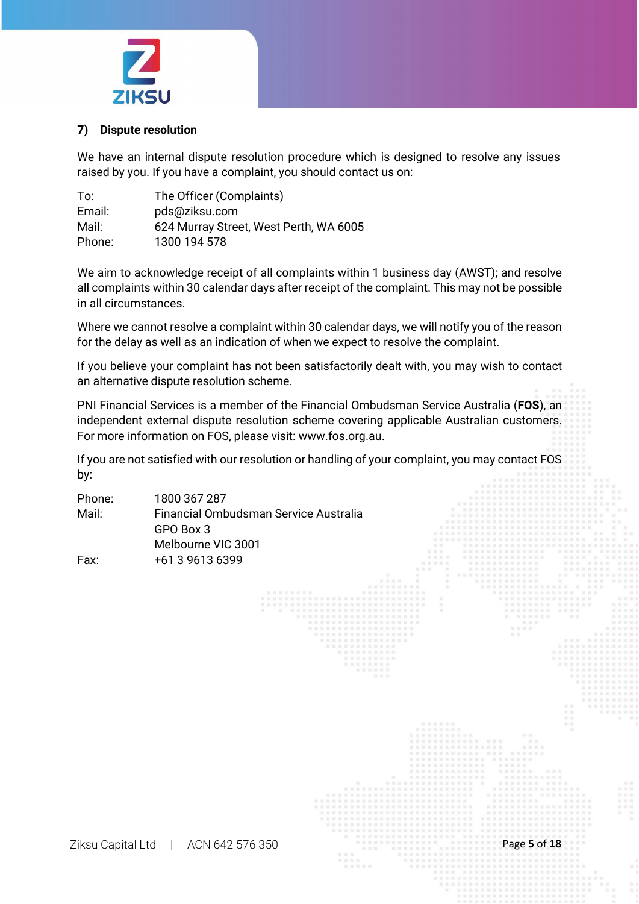

#### **7) Dispute resolution**

We have an internal dispute resolution procedure which is designed to resolve any issues raised by you. If you have a complaint, you should contact us on:

| To:    | The Officer (Complaints)               |
|--------|----------------------------------------|
| Email: | pds@ziksu.com                          |
| Mail:  | 624 Murray Street, West Perth, WA 6005 |
| Phone: | 1300 194 578                           |

We aim to acknowledge receipt of all complaints within 1 business day (AWST); and resolve all complaints within 30 calendar days after receipt of the complaint. This may not be possible in all circumstances.

Where we cannot resolve a complaint within 30 calendar days, we will notify you of the reason for the delay as well as an indication of when we expect to resolve the complaint.

If you believe your complaint has not been satisfactorily dealt with, you may wish to contact an alternative dispute resolution scheme.

PNI Financial Services is a member of the Financial Ombudsman Service Australia (**FOS**), an independent external dispute resolution scheme covering applicable Australian customers. For more information on FOS, please visit: [www.fos.org.au.](http://www.fos.org.au/)

If you are not satisfied with our resolution or handling of your complaint, you may contact FOS by:

| Phone: | 1800 367 287                          |
|--------|---------------------------------------|
| Mail:  | Financial Ombudsman Service Australia |
|        | GPO Box 3                             |
|        | Melbourne VIC 3001                    |
| Fax:   | +61 3 9613 6399                       |

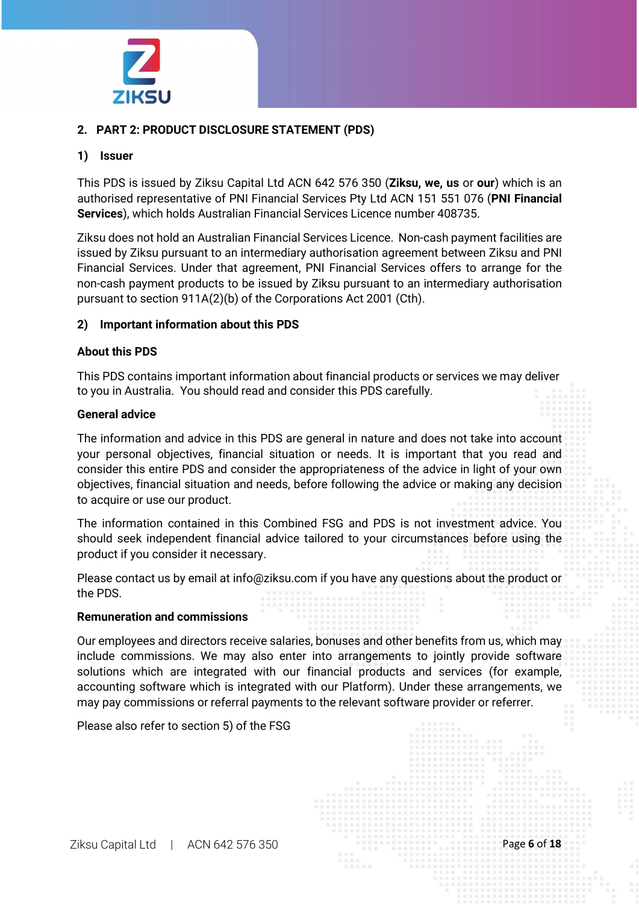

#### **2. PART 2: PRODUCT DISCLOSURE STATEMENT (PDS)**

#### **1) Issuer**

This PDS is issued by Ziksu Capital Ltd ACN 642 576 350 (**Ziksu, we, us** or **our**) which is an authorised representative of PNI Financial Services Pty Ltd ACN 151 551 076 (**PNI Financial Services**), which holds Australian Financial Services Licence number 408735.

Ziksu does not hold an Australian Financial Services Licence. Non-cash payment facilities are issued by Ziksu pursuant to an intermediary authorisation agreement between Ziksu and PNI Financial Services. Under that agreement, PNI Financial Services offers to arrange for the non-cash payment products to be issued by Ziksu pursuant to an intermediary authorisation pursuant to section 911A(2)(b) of the Corporations Act 2001 (Cth).

#### **2) Important information about this PDS**

#### **About this PDS**

This PDS contains important information about financial products or services we may deliver to you in Australia. You should read and consider this PDS carefully.

#### **General advice**

The information and advice in this PDS are general in nature and does not take into account your personal objectives, financial situation or needs. It is important that you read and consider this entire PDS and consider the appropriateness of the advice in light of your own objectives, financial situation and needs, before following the advice or making any decision to acquire or use our product.

The information contained in this Combined FSG and PDS is not investment advice. You should seek independent financial advice tailored to your circumstances before using the product if you consider it necessary.

Please contact us by email at [info@ziksu.com](mailto:info@ziksu.com) if you have any questions about the product or the PDS.

#### **Remuneration and commissions**

Our employees and directors receive salaries, bonuses and other benefits from us, which may include commissions. We may also enter into arrangements to jointly provide software solutions which are integrated with our financial products and services (for example, accounting software which is integrated with our Platform). Under these arrangements, we may pay commissions or referral payments to the relevant software provider or referrer.

Please also refer to section 5) of the FSG

Ziksu Capital Ltd | ACN 642 576 350 Page **6** of **18**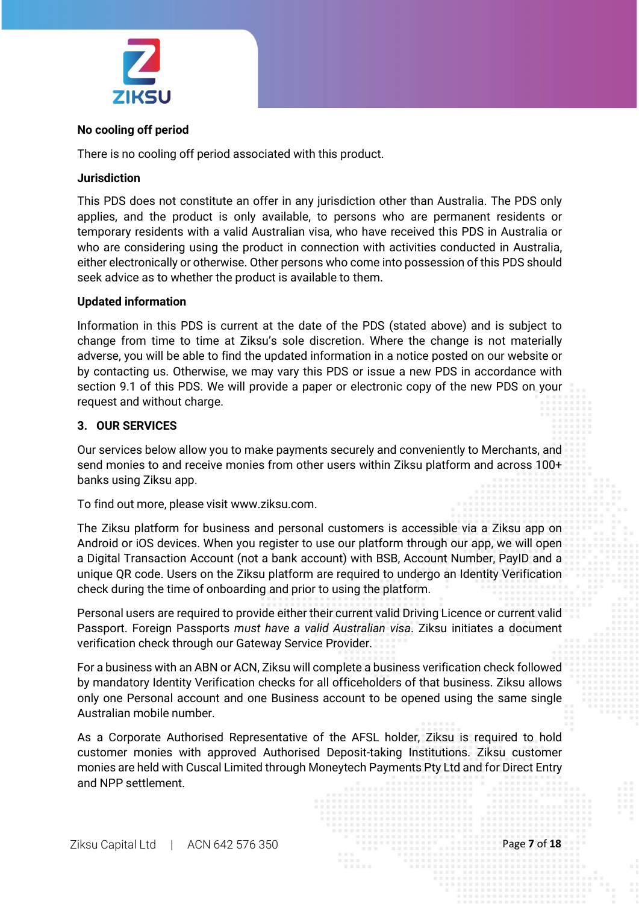

#### **No cooling off period**

There is no cooling off period associated with this product.

#### **Jurisdiction**

This PDS does not constitute an offer in any jurisdiction other than Australia. The PDS only applies, and the product is only available, to persons who are permanent residents or temporary residents with a valid Australian visa, who have received this PDS in Australia or who are considering using the product in connection with activities conducted in Australia, either electronically or otherwise. Other persons who come into possession of this PDS should seek advice as to whether the product is available to them.

#### **Updated information**

Information in this PDS is current at the date of the PDS (stated above) and is subject to change from time to time at Ziksu's sole discretion. Where the change is not materially adverse, you will be able to find the updated information in a notice posted on our website or by contacting us. Otherwise, we may vary this PDS or issue a new PDS in accordance with section 9.1 of this PDS. We will provide a paper or electronic copy of the new PDS on your request and without charge.

#### **3. OUR SERVICES**

Our services below allow you to make payments securely and conveniently to Merchants, and send monies to and receive monies from other users within Ziksu platform and across 100+ banks using Ziksu app.

To find out more, please visit [www.ziksu.com.](http://www.ziksu.com/)

The Ziksu platform for business and personal customers is accessible via a Ziksu app on Android or iOS devices. When you register to use our platform through our app, we will open a Digital Transaction Account (not a bank account) with BSB, Account Number, PayID and a unique QR code. Users on the Ziksu platform are required to undergo an Identity Verification check during the time of onboarding and prior to using the platform.

Personal users are required to provide either their current valid Driving Licence or current valid Passport. Foreign Passports *must have a valid Australian visa*. Ziksu initiates a document verification check through our Gateway Service Provider.

For a business with an ABN or ACN, Ziksu will complete a business verification check followed by mandatory Identity Verification checks for all officeholders of that business. Ziksu allows only one Personal account and one Business account to be opened using the same single Australian mobile number.

As a Corporate Authorised Representative of the AFSL holder, Ziksu is required to hold customer monies with approved Authorised Deposit-taking Institutions. Ziksu customer monies are held with Cuscal Limited through Moneytech Payments Pty Ltd and for Direct Entry and NPP settlement.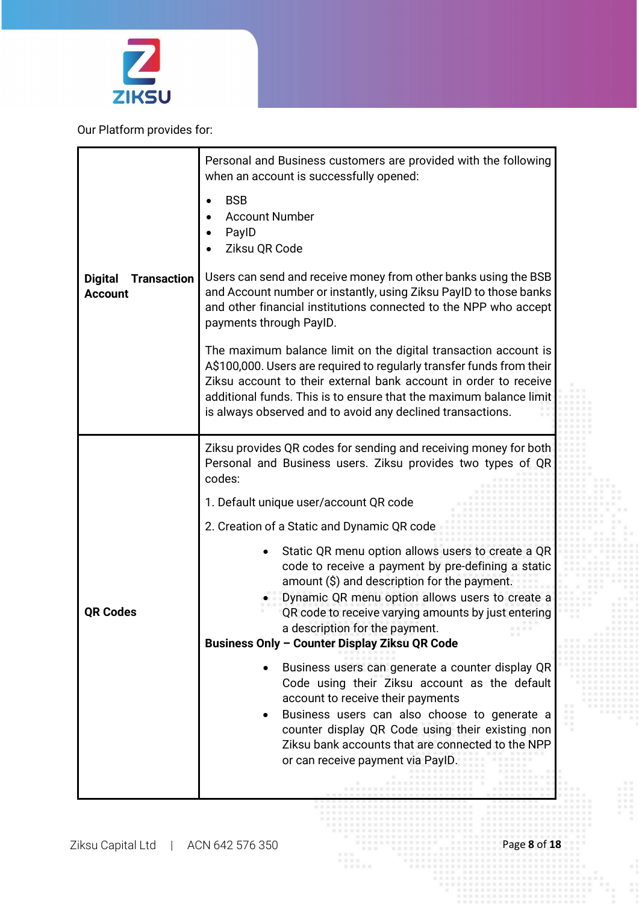

Our Platform provides for:

|                                                        | Personal and Business customers are provided with the following<br>when an account is successfully opened:                                                                                                                                                                                                                                                       |  |  |
|--------------------------------------------------------|------------------------------------------------------------------------------------------------------------------------------------------------------------------------------------------------------------------------------------------------------------------------------------------------------------------------------------------------------------------|--|--|
|                                                        | <b>BSB</b><br><b>Account Number</b><br>PaylD<br>Ziksu QR Code                                                                                                                                                                                                                                                                                                    |  |  |
| <b>Transaction</b><br><b>Digital</b><br><b>Account</b> | Users can send and receive money from other banks using the BSB<br>and Account number or instantly, using Ziksu PayID to those banks<br>and other financial institutions connected to the NPP who accept<br>payments through PaylD.                                                                                                                              |  |  |
|                                                        | The maximum balance limit on the digital transaction account is<br>A\$100,000. Users are required to regularly transfer funds from their<br>Ziksu account to their external bank account in order to receive<br>additional funds. This is to ensure that the maximum balance limit<br>is always observed and to avoid any declined transactions.                 |  |  |
|                                                        | Ziksu provides QR codes for sending and receiving money for both<br>Personal and Business users. Ziksu provides two types of QR<br>codes:                                                                                                                                                                                                                        |  |  |
|                                                        | 1. Default unique user/account QR code                                                                                                                                                                                                                                                                                                                           |  |  |
|                                                        | 2. Creation of a Static and Dynamic QR code                                                                                                                                                                                                                                                                                                                      |  |  |
| <b>QR Codes</b>                                        | Static QR menu option allows users to create a QR<br>code to receive a payment by pre-defining a static<br>amount (\$) and description for the payment.<br>Dynamic QR menu option allows users to create a<br>QR code to receive varying amounts by just entering<br>a description for the payment.                                                              |  |  |
|                                                        | Business Only - Counter Display Ziksu QR Code                                                                                                                                                                                                                                                                                                                    |  |  |
|                                                        | Business users can generate a counter display QR<br>Code using their Ziksu account as the default<br>account to receive their payments<br>Business users can also choose to generate a<br>counter display QR Code using their existing non<br>Ziksu bank accounts that are connected to the NPP<br>or can receive payment via PayID.<br><br><b>*************</b> |  |  |
|                                                        | <b>NNHNNNNNNNNNNNN</b>                                                                                                                                                                                                                                                                                                                                           |  |  |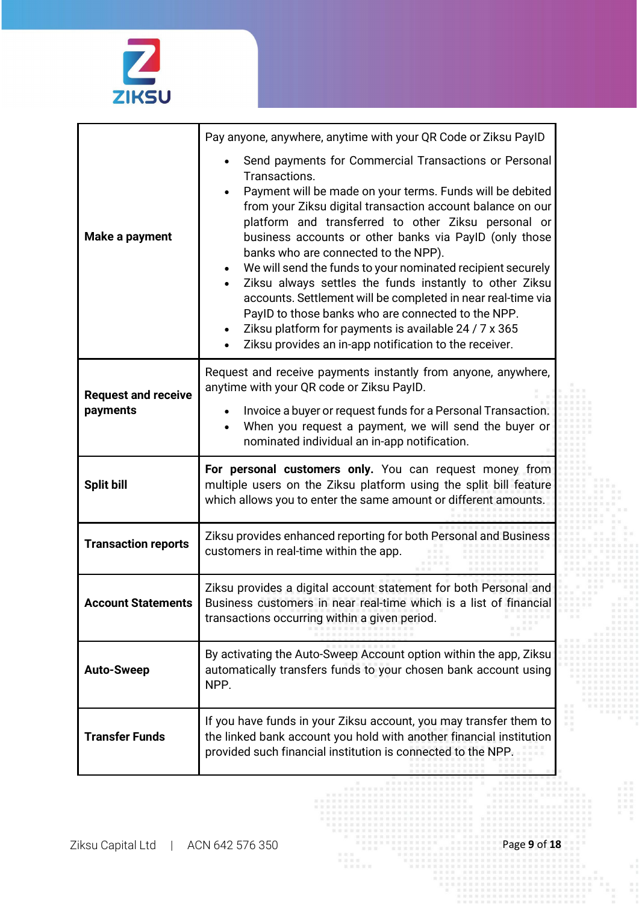

|                                        | Pay anyone, anywhere, anytime with your QR Code or Ziksu PayID                                                                                                                                                                                                                                                                                                                                                                                                                                                                                                                                                                                                                                                                                          |  |  |
|----------------------------------------|---------------------------------------------------------------------------------------------------------------------------------------------------------------------------------------------------------------------------------------------------------------------------------------------------------------------------------------------------------------------------------------------------------------------------------------------------------------------------------------------------------------------------------------------------------------------------------------------------------------------------------------------------------------------------------------------------------------------------------------------------------|--|--|
| Make a payment                         | Send payments for Commercial Transactions or Personal<br>Transactions.<br>Payment will be made on your terms. Funds will be debited<br>from your Ziksu digital transaction account balance on our<br>platform and transferred to other Ziksu personal or<br>business accounts or other banks via PayID (only those<br>banks who are connected to the NPP).<br>We will send the funds to your nominated recipient securely<br>$\bullet$<br>Ziksu always settles the funds instantly to other Ziksu<br>$\bullet$<br>accounts. Settlement will be completed in near real-time via<br>PayID to those banks who are connected to the NPP.<br>Ziksu platform for payments is available 24 / 7 x 365<br>Ziksu provides an in-app notification to the receiver. |  |  |
| <b>Request and receive</b><br>payments | Request and receive payments instantly from anyone, anywhere,<br>anytime with your QR code or Ziksu PayID.<br>Invoice a buyer or request funds for a Personal Transaction.<br>When you request a payment, we will send the buyer or<br>nominated individual an in-app notification.                                                                                                                                                                                                                                                                                                                                                                                                                                                                     |  |  |
| <b>Split bill</b>                      | For personal customers only. You can request money from<br>multiple users on the Ziksu platform using the split bill feature<br>which allows you to enter the same amount or different amounts.                                                                                                                                                                                                                                                                                                                                                                                                                                                                                                                                                         |  |  |
| <b>Transaction reports</b>             | Ziksu provides enhanced reporting for both Personal and Business<br>customers in real-time within the app.                                                                                                                                                                                                                                                                                                                                                                                                                                                                                                                                                                                                                                              |  |  |
| Account Statements                     | Ziksu provides a digital account statement for both Personal and<br>Business customers in near real-time which is a list of financial<br>transactions occurring within a given period.                                                                                                                                                                                                                                                                                                                                                                                                                                                                                                                                                                  |  |  |
| <b>Auto-Sweep</b>                      | By activating the Auto-Sweep Account option within the app, Ziksu<br>automatically transfers funds to your chosen bank account using<br>NPP.                                                                                                                                                                                                                                                                                                                                                                                                                                                                                                                                                                                                            |  |  |
| <b>Transfer Funds</b>                  | If you have funds in your Ziksu account, you may transfer them to<br>the linked bank account you hold with another financial institution<br>provided such financial institution is connected to the NPP.<br>                                                                                                                                                                                                                                                                                                                                                                                                                                                                                                                                            |  |  |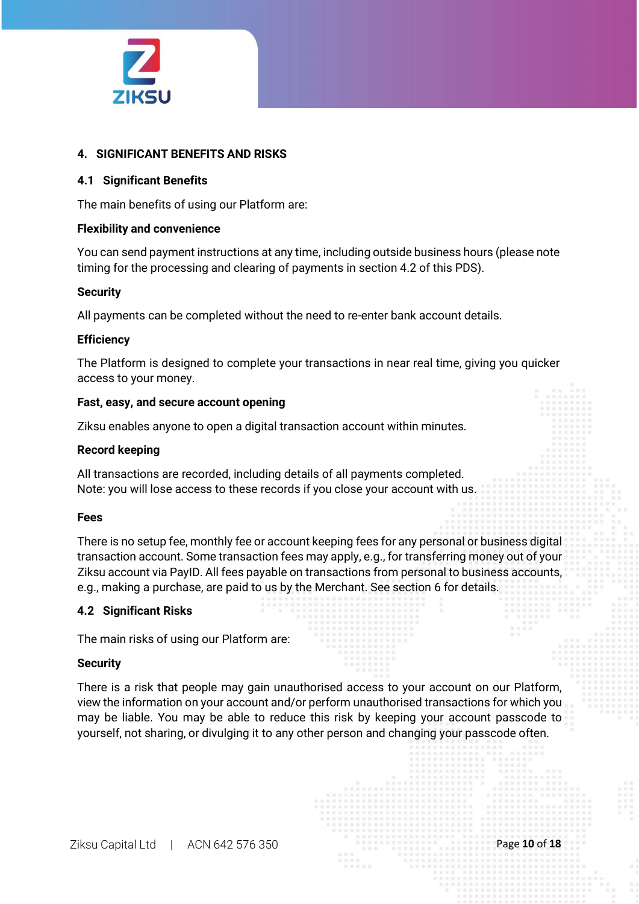

#### **4. SIGNIFICANT BENEFITS AND RISKS**

#### **4.1 Significant Benefits**

The main benefits of using our Platform are:

#### **Flexibility and convenience**

You can send payment instructions at any time, including outside business hours (please note timing for the processing and clearing of payments in section 4.2 of this PDS).

#### **Security**

All payments can be completed without the need to re-enter bank account details.

#### **Efficiency**

The Platform is designed to complete your transactions in near real time, giving you quicker access to your money.

#### **Fast, easy, and secure account opening**

Ziksu enables anyone to open a digital transaction account within minutes.

#### **Record keeping**

All transactions are recorded, including details of all payments completed. Note: you will lose access to these records if you close your account with us.

#### **Fees**

There is no setup fee, monthly fee or account keeping fees for any personal or business digital transaction account. Some transaction fees may apply, e.g., for transferring money out of your Ziksu account via PayID. All fees payable on transactions from personal to business accounts, e.g., making a purchase, are paid to us by the Merchant. See section 6 for details.

#### **4.2 Significant Risks**

The main risks of using our Platform are:

#### **Security**

There is a risk that people may gain unauthorised access to your account on our Platform, view the information on your account and/or perform unauthorised transactions for which you may be liable. You may be able to reduce this risk by keeping your account passcode to yourself, not sharing, or divulging it to any other person and changing your passcode often.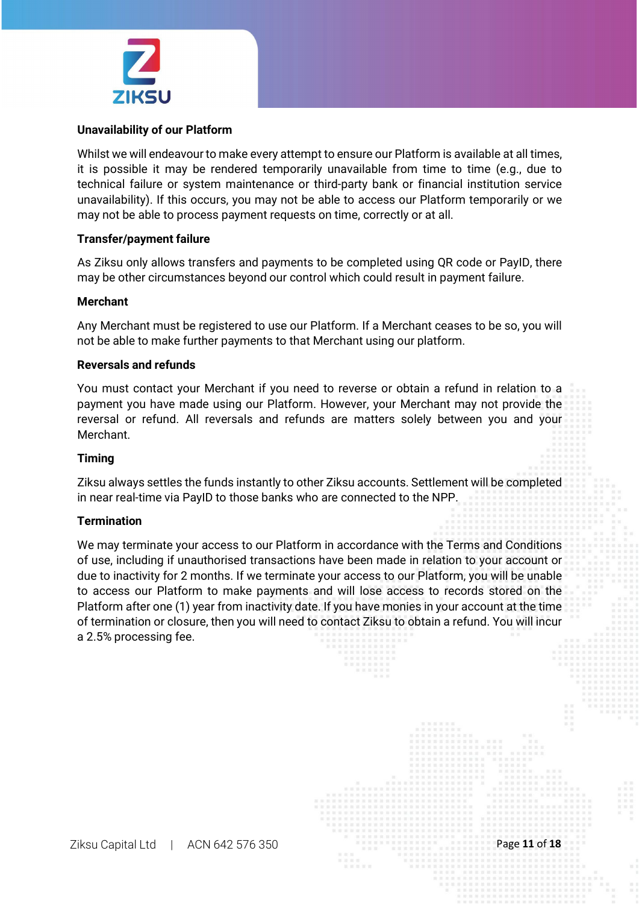

#### **Unavailability of our Platform**

Whilst we will endeavour to make every attempt to ensure our Platform is available at all times, it is possible it may be rendered temporarily unavailable from time to time (e.g., due to technical failure or system maintenance or third-party bank or financial institution service unavailability). If this occurs, you may not be able to access our Platform temporarily or we may not be able to process payment requests on time, correctly or at all.

#### **Transfer/payment failure**

As Ziksu only allows transfers and payments to be completed using QR code or PayID, there may be other circumstances beyond our control which could result in payment failure.

#### **Merchant**

Any Merchant must be registered to use our Platform. If a Merchant ceases to be so, you will not be able to make further payments to that Merchant using our platform.

#### **Reversals and refunds**

You must contact your Merchant if you need to reverse or obtain a refund in relation to a payment you have made using our Platform. However, your Merchant may not provide the reversal or refund. All reversals and refunds are matters solely between you and your Merchant.

#### **Timing**

Ziksu always settles the funds instantly to other Ziksu accounts. Settlement will be completed in near real-time via PayID to those banks who are connected to the NPP.

#### **Termination**

We may terminate your access to our Platform in accordance with the Terms and Conditions of use, including if unauthorised transactions have been made in relation to your account or due to inactivity for 2 months. If we terminate your access to our Platform, you will be unable to access our Platform to make payments and will lose access to records stored on the Platform after one (1) year from inactivity date. If you have monies in your account at the time of termination or closure, then you will need to contact Ziksu to obtain a refund. You will incur a 2.5% processing fee.

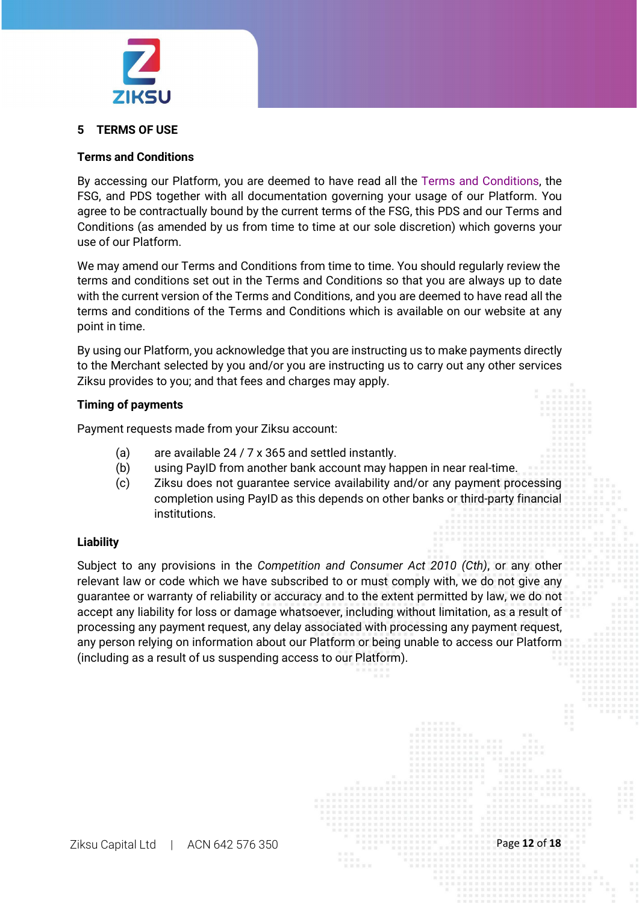

#### **5 TERMS OF USE**

#### **Terms and Conditions**

By accessing our Platform, you are deemed to have read all the [Terms and Conditions, t](https://ziksu.com/Terms%20and%20Conditions%20-%20Final.pdf)he FSG, and PDS together with all documentation governing your usage of our Platform. You agree to be contractually bound by the current terms of the FSG, this PDS and our Terms and Conditions (as amended by us from time to time at our sole discretion) which governs your use of our Platform.

We may amend our Terms and Conditions from time to time. You should regularly review the terms and conditions set out in the Terms and Conditions so that you are always up to date with the current version of the Terms and Conditions, and you are deemed to have read all the terms and conditions of the Terms and Conditions which is available on our website at any point in time.

By using our Platform, you acknowledge that you are instructing us to make payments directly to the Merchant selected by you and/or you are instructing us to carry out any other services Ziksu provides to you; and that fees and charges may apply.

#### **Timing of payments**

Payment requests made from your Ziksu account:

- (a) are available 24 / 7 x 365 and settled instantly.
- (b) using PayID from another bank account may happen in near real-time.
- (c) Ziksu does not guarantee service availability and/or any payment processing completion using PayID as this depends on other banks or third-party financial institutions.

#### **Liability**

Subject to any provisions in the *Competition and Consumer Act 2010 (Cth)*, or any other relevant law or code which we have subscribed to or must comply with, we do not give any guarantee or warranty of reliability or accuracy and to the extent permitted by law, we do not accept any liability for loss or damage whatsoever, including without limitation, as a result of processing any payment request, any delay associated with processing any payment request, any person relying on information about our Platform or being unable to access our Platform (including as a result of us suspending access to our Platform).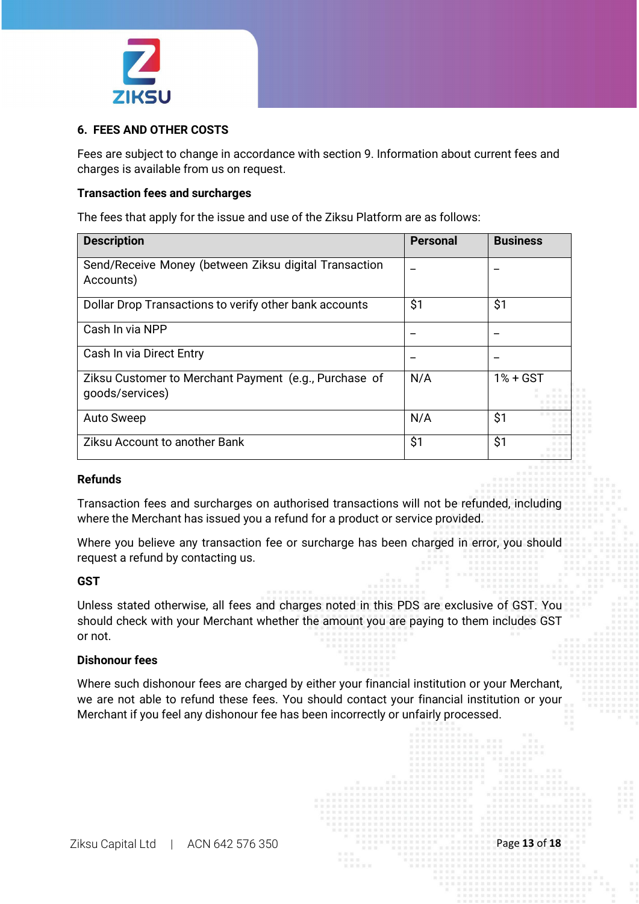

#### **6. FEES AND OTHER COSTS**

Fees are subject to change in accordance with section 9. Information about current fees and charges is available from us on request.

#### **Transaction fees and surcharges**

The fees that apply for the issue and use of the Ziksu Platform are as follows:

| <b>Description</b>                                                       | <b>Personal</b> | <b>Business</b> |
|--------------------------------------------------------------------------|-----------------|-----------------|
| Send/Receive Money (between Ziksu digital Transaction<br>Accounts)       |                 |                 |
| Dollar Drop Transactions to verify other bank accounts                   | \$1             | \$1             |
| Cash In via NPP                                                          |                 |                 |
| Cash In via Direct Entry                                                 |                 |                 |
| Ziksu Customer to Merchant Payment (e.g., Purchase of<br>goods/services) | N/A             | $1% + GST$      |
| <b>Auto Sweep</b>                                                        | N/A             | \$1             |
| <b>Ziksu Account to another Bank</b>                                     | \$1             | \$1             |

#### **Refunds**

Transaction fees and surcharges on authorised transactions will not be refunded, including where the Merchant has issued you a refund for a product or service provided.

Where you believe any transaction fee or surcharge has been charged in error, you should request a refund by contacting us.

#### **GST**

Unless stated otherwise, all fees and charges noted in this PDS are exclusive of GST. You should check with your Merchant whether the amount you are paying to them includes GST or not.

#### **Dishonour fees**

Where such dishonour fees are charged by either your financial institution or your Merchant, we are not able to refund these fees. You should contact your financial institution or your Merchant if you feel any dishonour fee has been incorrectly or unfairly processed.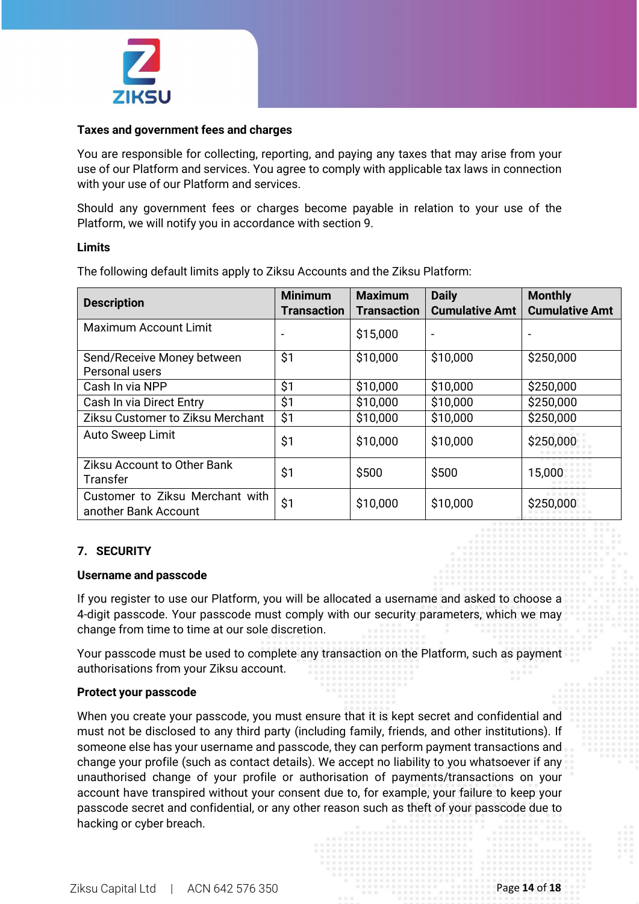

#### **Taxes and government fees and charges**

You are responsible for collecting, reporting, and paying any taxes that may arise from your use of our Platform and services. You agree to comply with applicable tax laws in connection with your use of our Platform and services.

Should any government fees or charges become payable in relation to your use of the Platform, we will notify you in accordance with section 9.

#### **Limits**

The following default limits apply to Ziksu Accounts and the Ziksu Platform:

| <b>Description</b>                                      | <b>Minimum</b><br><b>Transaction</b> | <b>Maximum</b><br><b>Transaction</b> | <b>Daily</b><br><b>Cumulative Amt</b> | <b>Monthly</b><br><b>Cumulative Amt</b> |
|---------------------------------------------------------|--------------------------------------|--------------------------------------|---------------------------------------|-----------------------------------------|
| <b>Maximum Account Limit</b>                            |                                      | \$15,000                             |                                       |                                         |
| Send/Receive Money between<br>Personal users            | \$1                                  | \$10,000                             | \$10,000                              | \$250,000                               |
| Cash In via NPP                                         | \$1                                  | \$10,000                             | \$10,000                              | \$250,000                               |
| Cash In via Direct Entry                                | \$1                                  | \$10,000                             | \$10,000                              | \$250,000                               |
| Ziksu Customer to Ziksu Merchant                        | \$1                                  | \$10,000                             | \$10,000                              | \$250,000                               |
| Auto Sweep Limit                                        | \$1                                  | \$10,000                             | \$10,000                              | \$250,000                               |
| <b>Ziksu Account to Other Bank</b><br><b>Transfer</b>   | \$1                                  | \$500                                | \$500                                 | 15,000                                  |
| Customer to Ziksu Merchant with<br>another Bank Account | \$1                                  | \$10,000                             | \$10,000                              | \$250,000                               |

#### **7. SECURITY**

#### **Username and passcode**

If you register to use our Platform, you will be allocated a username and asked to choose a 4-digit passcode. Your passcode must comply with our security parameters, which we may change from time to time at our sole discretion.

Your passcode must be used to complete any transaction on the Platform, such as payment authorisations from your Ziksu account.

#### **Protect your passcode**

When you create your passcode, you must ensure that it is kept secret and confidential and must not be disclosed to any third party (including family, friends, and other institutions). If someone else has your username and passcode, they can perform payment transactions and change your profile (such as contact details). We accept no liability to you whatsoever if any unauthorised change of your profile or authorisation of payments/transactions on your account have transpired without your consent due to, for example, your failure to keep your passcode secret and confidential, or any other reason such as theft of your passcode due to hacking or cyber breach.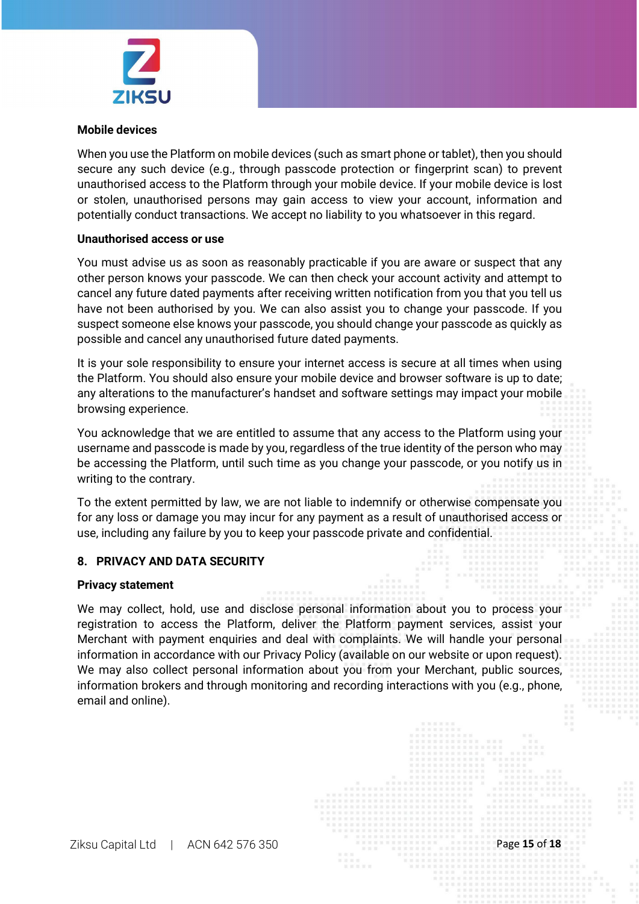

#### **Mobile devices**

When you use the Platform on mobile devices (such as smart phone or tablet), then you should secure any such device (e.g., through passcode protection or fingerprint scan) to prevent unauthorised access to the Platform through your mobile device. If your mobile device is lost or stolen, unauthorised persons may gain access to view your account, information and potentially conduct transactions. We accept no liability to you whatsoever in this regard.

#### **Unauthorised access or use**

You must advise us as soon as reasonably practicable if you are aware or suspect that any other person knows your passcode. We can then check your account activity and attempt to cancel any future dated payments after receiving written notification from you that you tell us have not been authorised by you. We can also assist you to change your passcode. If you suspect someone else knows your passcode, you should change your passcode as quickly as possible and cancel any unauthorised future dated payments.

It is your sole responsibility to ensure your internet access is secure at all times when using the Platform. You should also ensure your mobile device and browser software is up to date; any alterations to the manufacturer's handset and software settings may impact your mobile browsing experience.

You acknowledge that we are entitled to assume that any access to the Platform using your username and passcode is made by you, regardless of the true identity of the person who may be accessing the Platform, until such time as you change your passcode, or you notify us in writing to the contrary.

To the extent permitted by law, we are not liable to indemnify or otherwise compensate you for any loss or damage you may incur for any payment as a result of unauthorised access or use, including any failure by you to keep your passcode private and confidential.

#### **8. PRIVACY AND DATA SECURITY**

#### **Privacy statement**

We may collect, hold, use and disclose personal information about you to process your registration to access the Platform, deliver the Platform payment services, assist your Merchant with payment enquiries and deal with complaints. We will handle your personal information in accordance with our Privacy Policy (available on our website or upon request). We may also collect personal information about you from your Merchant, public sources, information brokers and through monitoring and recording interactions with you (e.g., phone, email and online).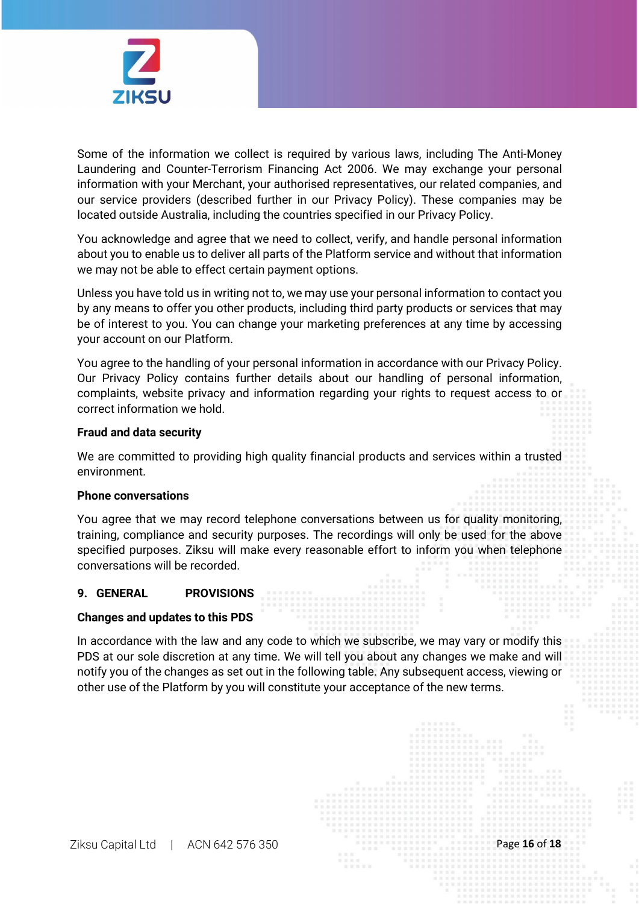

Some of the information we collect is required by various laws, including The Anti-Money Laundering and Counter-Terrorism Financing Act 2006. We may exchange your personal information with your Merchant, your authorised representatives, our related companies, and our service providers (described further in our Privacy Policy). These companies may be located outside Australia, including the countries specified in our Privacy Policy.

You acknowledge and agree that we need to collect, verify, and handle personal information about you to enable us to deliver all parts of the Platform service and without that information we may not be able to effect certain payment options.

Unless you have told us in writing not to, we may use your personal information to contact you by any means to offer you other products, including third party products or services that may be of interest to you. You can change your marketing preferences at any time by accessing your account on our Platform.

You agree to the handling of your personal information in accordance with our Privacy Policy. Our Privacy Policy contains further details about our handling of personal information, complaints, website privacy and information regarding your rights to request access to or correct information we hold.

#### **Fraud and data security**

We are committed to providing high quality financial products and services within a trusted environment.

#### **Phone conversations**

You agree that we may record telephone conversations between us for quality monitoring, training, compliance and security purposes. The recordings will only be used for the above specified purposes. Ziksu will make every reasonable effort to inform you when telephone conversations will be recorded.

#### **9. GENERAL PROVISIONS**

#### **Changes and updates to this PDS**

In accordance with the law and any code to which we subscribe, we may vary or modify this PDS at our sole discretion at any time. We will tell you about any changes we make and will notify you of the changes as set out in the following table. Any subsequent access, viewing or other use of the Platform by you will constitute your acceptance of the new terms.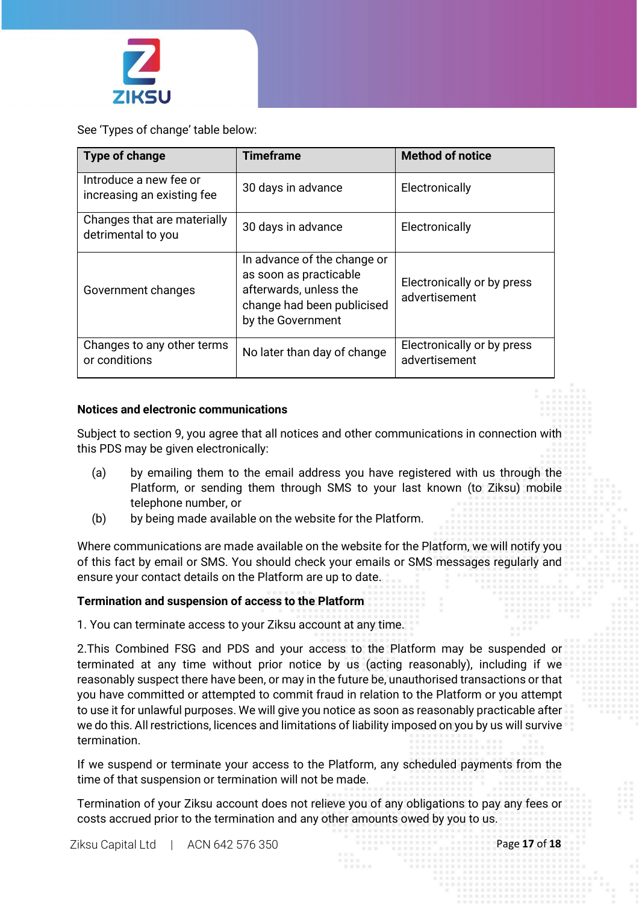

See 'Types of change' table below:

| Type of change                                       | <b>Timeframe</b>                                                                                                                   | <b>Method of notice</b>                     |
|------------------------------------------------------|------------------------------------------------------------------------------------------------------------------------------------|---------------------------------------------|
| Introduce a new fee or<br>increasing an existing fee | 30 days in advance                                                                                                                 | Electronically                              |
| Changes that are materially<br>detrimental to you    | 30 days in advance                                                                                                                 | Electronically                              |
| Government changes                                   | In advance of the change or<br>as soon as practicable<br>afterwards, unless the<br>change had been publicised<br>by the Government | Electronically or by press<br>advertisement |
| Changes to any other terms<br>or conditions          | No later than day of change                                                                                                        | Electronically or by press<br>advertisement |

#### **Notices and electronic communications**

Subject to section 9, you agree that all notices and other communications in connection with this PDS may be given electronically:

- (a) by emailing them to the email address you have registered with us through the Platform, or sending them through SMS to your last known (to Ziksu) mobile telephone number, or
- (b) by being made available on the website for the Platform.

Where communications are made available on the website for the Platform, we will notify you of this fact by email or SMS. You should check your emails or SMS messages regularly and ensure your contact details on the Platform are up to date.

#### **Termination and suspension of access to the Platform**

1. You can terminate access to your Ziksu account at any time.

2.This Combined FSG and PDS and your access to the Platform may be suspended or terminated at any time without prior notice by us (acting reasonably), including if we reasonably suspect there have been, or may in the future be, unauthorised transactions or that you have committed or attempted to commit fraud in relation to the Platform or you attempt to use it for unlawful purposes. We will give you notice as soon as reasonably practicable after we do this. All restrictions, licences and limitations of liability imposed on you by us will survive termination.

If we suspend or terminate your access to the Platform, any scheduled payments from the time of that suspension or termination will not be made.

Termination of your Ziksu account does not relieve you of any obligations to pay any fees or costs accrued prior to the termination and any other amounts owed by you to us.